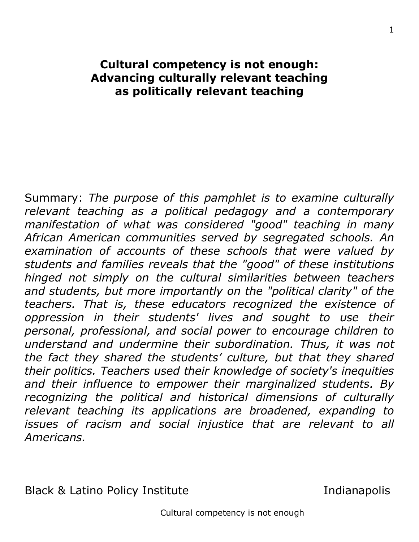# **Cultural competency is not enough: Advancing culturally relevant teaching as politically relevant teaching**

Summary: *The purpose of this pamphlet is to examine culturally relevant teaching as a political pedagogy and a contemporary manifestation of what was considered "good" teaching in many African American communities served by segregated schools. An examination of accounts of these schools that were valued by students and families reveals that the "good" of these institutions hinged not simply on the cultural similarities between teachers and students, but more importantly on the "political clarity" of the teachers. That is, these educators recognized the existence of oppression in their students' lives and sought to use their personal, professional, and social power to encourage children to understand and undermine their subordination. Thus, it was not the fact they shared the students' culture, but that they shared their politics. Teachers used their knowledge of society's inequities and their influence to empower their marginalized students. By recognizing the political and historical dimensions of culturally relevant teaching its applications are broadened, expanding to issues of racism and social injustice that are relevant to all Americans.* 

Black & Latino Policy Institute The Indianapolis

Cultural competency is not enough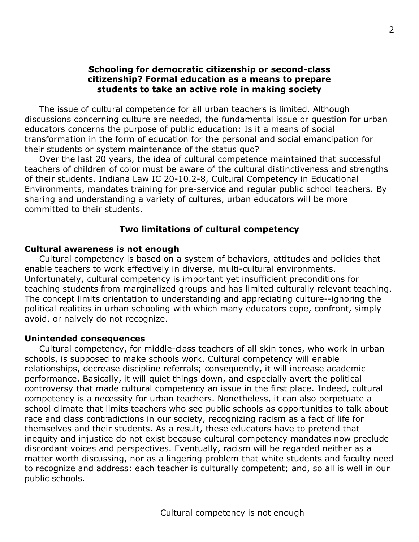## **Schooling for democratic citizenship or second-class citizenship? Formal education as a means to prepare students to take an active role in making society**

 The issue of cultural competence for all urban teachers is limited. Although discussions concerning culture are needed, the fundamental issue or question for urban educators concerns the purpose of public education: Is it a means of social transformation in the form of education for the personal and social emancipation for their students or system maintenance of the status quo?

 Over the last 20 years, the idea of cultural competence maintained that successful teachers of children of color must be aware of the cultural distinctiveness and strengths of their students. Indiana Law IC 20-10.2-8, Cultural Competency in Educational Environments, mandates training for pre-service and regular public school teachers. By sharing and understanding a variety of cultures, urban educators will be more committed to their students.

## **Two limitations of cultural competency**

### **Cultural awareness is not enough**

 Cultural competency is based on a system of behaviors, attitudes and policies that enable teachers to work effectively in diverse, multi-cultural environments. Unfortunately, cultural competency is important yet insufficient preconditions for teaching students from marginalized groups and has limited culturally relevant teaching. The concept limits orientation to understanding and appreciating culture--ignoring the political realities in urban schooling with which many educators cope, confront, simply avoid, or naively do not recognize.

#### **Unintended consequences**

 Cultural competency, for middle-class teachers of all skin tones, who work in urban schools, is supposed to make schools work. Cultural competency will enable relationships, decrease discipline referrals; consequently, it will increase academic performance. Basically, it will quiet things down, and especially avert the political controversy that made cultural competency an issue in the first place. Indeed, cultural competency is a necessity for urban teachers. Nonetheless, it can also perpetuate a school climate that limits teachers who see public schools as opportunities to talk about race and class contradictions in our society, recognizing racism as a fact of life for themselves and their students. As a result, these educators have to pretend that inequity and injustice do not exist because cultural competency mandates now preclude discordant voices and perspectives. Eventually, racism will be regarded neither as a matter worth discussing, nor as a lingering problem that white students and faculty need to recognize and address: each teacher is culturally competent; and, so all is well in our public schools.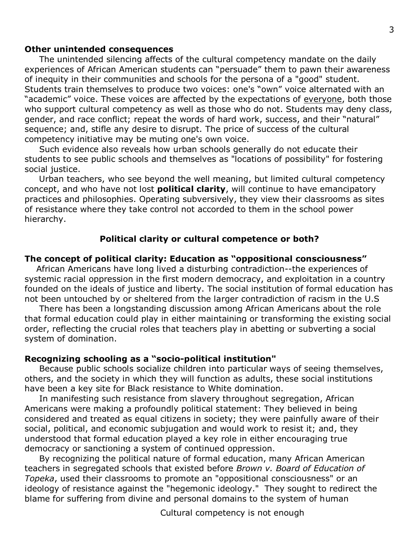#### **Other unintended consequences**

 The unintended silencing affects of the cultural competency mandate on the daily experiences of African American students can "persuade" them to pawn their awareness of inequity in their communities and schools for the persona of a "good" student. Students train themselves to produce two voices: one's "own" voice alternated with an "academic" voice. These voices are affected by the expectations of everyone, both those who support cultural competency as well as those who do not. Students may deny class, gender, and race conflict; repeat the words of hard work, success, and their "natural" sequence; and, stifle any desire to disrupt. The price of success of the cultural competency initiative may be muting one's own voice.

 Such evidence also reveals how urban schools generally do not educate their students to see public schools and themselves as "locations of possibility" for fostering social justice.

 Urban teachers, who see beyond the well meaning, but limited cultural competency concept, and who have not lost **political clarity**, will continue to have emancipatory practices and philosophies. Operating subversively, they view their classrooms as sites of resistance where they take control not accorded to them in the school power hierarchy.

### **Political clarity or cultural competence or both?**

#### **The concept of political clarity: Education as "oppositional consciousness"**

 African Americans have long lived a disturbing contradiction--the experiences of systemic racial oppression in the first modern democracy, and exploitation in a country founded on the ideals of justice and liberty. The social institution of formal education has not been untouched by or sheltered from the larger contradiction of racism in the U.S

 There has been a longstanding discussion among African Americans about the role that formal education could play in either maintaining or transforming the existing social order, reflecting the crucial roles that teachers play in abetting or subverting a social system of domination.

#### **Recognizing schooling as a "socio-political institution"**

 Because public schools socialize children into particular ways of seeing themselves, others, and the society in which they will function as adults, these social institutions have been a key site for Black resistance to White domination.

 In manifesting such resistance from slavery throughout segregation, African Americans were making a profoundly political statement: They believed in being considered and treated as equal citizens in society; they were painfully aware of their social, political, and economic subjugation and would work to resist it; and, they understood that formal education played a key role in either encouraging true democracy or sanctioning a system of continued oppression.

 By recognizing the political nature of formal education, many African American teachers in segregated schools that existed before *Brown v. Board of Education of Topeka*, used their classrooms to promote an "oppositional consciousness" or an ideology of resistance against the "hegemonic ideology." They sought to redirect the blame for suffering from divine and personal domains to the system of human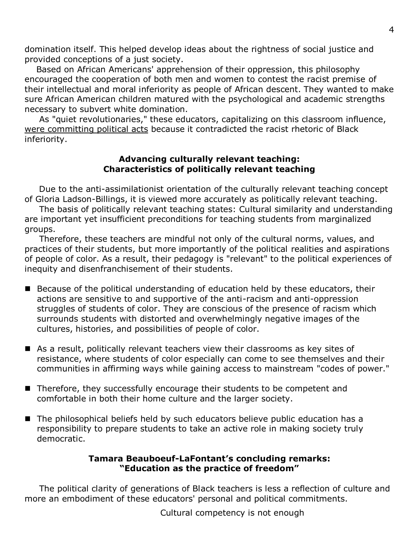domination itself. This helped develop ideas about the rightness of social justice and provided conceptions of a just society.

 Based on African Americans' apprehension of their oppression, this philosophy encouraged the cooperation of both men and women to contest the racist premise of their intellectual and moral inferiority as people of African descent. They wanted to make sure African American children matured with the psychological and academic strengths necessary to subvert white domination.

 As "quiet revolutionaries," these educators, capitalizing on this classroom influence, were committing political acts because it contradicted the racist rhetoric of Black inferiority.

## **Advancing culturally relevant teaching: Characteristics of politically relevant teaching**

 Due to the anti-assimilationist orientation of the culturally relevant teaching concept of Gloria Ladson-Billings, it is viewed more accurately as politically relevant teaching.

 The basis of politically relevant teaching states: Cultural similarity and understanding are important yet insufficient preconditions for teaching students from marginalized groups.

 Therefore, these teachers are mindful not only of the cultural norms, values, and practices of their students, but more importantly of the political realities and aspirations of people of color. As a result, their pedagogy is "relevant" to the political experiences of inequity and disenfranchisement of their students.

- Because of the political understanding of education held by these educators, their actions are sensitive to and supportive of the anti-racism and anti-oppression struggles of students of color. They are conscious of the presence of racism which surrounds students with distorted and overwhelmingly negative images of the cultures, histories, and possibilities of people of color.
- As a result, politically relevant teachers view their classrooms as key sites of resistance, where students of color especially can come to see themselves and their communities in affirming ways while gaining access to mainstream "codes of power."
- Therefore, they successfully encourage their students to be competent and comfortable in both their home culture and the larger society.
- The philosophical beliefs held by such educators believe public education has a responsibility to prepare students to take an active role in making society truly democratic.

# **[Tamara Beauboeuf-LaFontant](http://www.tcrecord.org/AuthorDisplay.asp?aid=11736)'s concluding remarks: "Education as the practice of freedom"**

 The political clarity of generations of Black teachers is less a reflection of culture and more an embodiment of these educators' personal and political commitments.

Cultural competency is not enough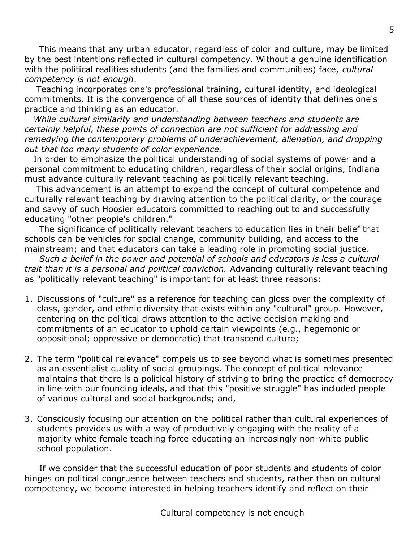This means that any urban educator, regardless of color and culture, may be limited by the best intentions reflected in cultural competency. Without a genuine identification with the political realities students (and the families and communities) face, *cultural competency is not enough*.

 Teaching incorporates one's professional training, cultural identity, and ideological commitments. It is the convergence of all these sources of identity that defines one's practice and thinking as an educator.

 *While cultural similarity and understanding between teachers and students are certainly helpful, these points of connection are not sufficient for addressing and remedying the contemporary problems of underachievement, alienation, and dropping out that too many students of color experience.*

 In order to emphasize the political understanding of social systems of power and a personal commitment to educating children, regardless of their social origins, Indiana must advance culturally relevant teaching as politically relevant teaching.

 This advancement is an attempt to expand the concept of cultural competence and culturally relevant teaching by drawing attention to the political clarity, or the courage and savvy of such Hoosier educators committed to reaching out to and successfully educating "other people's children."

 The significance of politically relevant teachers to education lies in their belief that schools can be vehicles for social change, community building, and access to the mainstream; and that educators can take a leading role in promoting social justice.

 *Such a belief in the power and potential of schools and educators is less a cultural trait than it is a personal and political conviction.* Advancing culturally relevant teaching as "politically relevant teaching" is important for at least three reasons:

- 1. Discussions of "culture" as a reference for teaching can gloss over the complexity of class, gender, and ethnic diversity that exists within any "cultural" group. However, centering on the political draws attention to the active decision making and commitments of an educator to uphold certain viewpoints (e.g., hegemonic or oppositional; oppressive or democratic) that transcend culture;
- 2. The term "political relevance" compels us to see beyond what is sometimes presented as an essentialist quality of social groupings. The concept of political relevance maintains that there is a political history of striving to bring the practice of democracy in line with our founding ideals, and that this "positive struggle" has included people of various cultural and social backgrounds; and,
- 3. Consciously focusing our attention on the political rather than cultural experiences of students provides us with a way of productively engaging with the reality of a majority white female teaching force educating an increasingly non-white public school population.

 If we consider that the successful education of poor students and students of color hinges on political congruence between teachers and students, rather than on cultural competency, we become interested in helping teachers identify and reflect on their